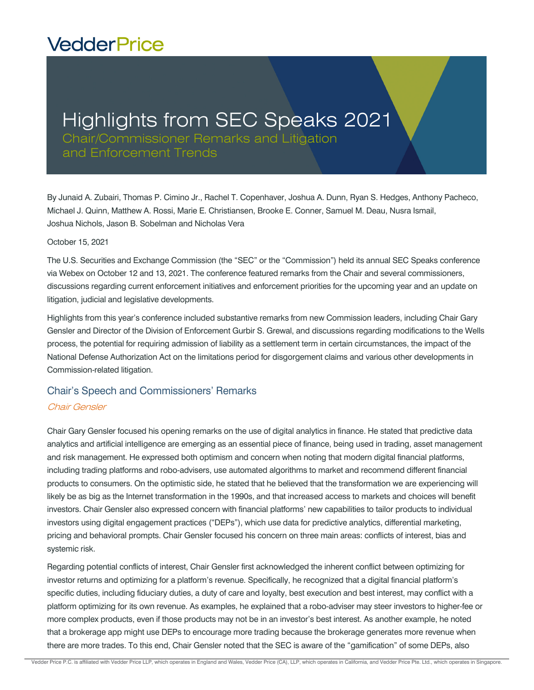# **VedderPrice**

# Highlights from SEC Speaks 2021

Chair/Commissioner Remarks and Litigation and Enforcement Trends

By Junaid A. Zubairi, Thomas P. Cimino Jr., Rachel T. Copenhaver, Joshua A. Dunn, Ryan S. Hedges, Anthony Pacheco, Michael J. Quinn, Matthew A. Rossi, Marie E. Christiansen, Brooke E. Conner, Samuel M. Deau, Nusra Ismail, Joshua Nichols, Jason B. Sobelman and Nicholas Vera

#### October 15, 2021

The U.S. Securities and Exchange Commission (the "SEC" or the "Commission") held its annual SEC Speaks conference via Webex on October 12 and 13, 2021. The conference featured remarks from the Chair and several commissioners, discussions regarding current enforcement initiatives and enforcement priorities for the upcoming year and an update on litigation, judicial and legislative developments.

Highlights from this year's conference included substantive remarks from new Commission leaders, including Chair Gary Gensler and Director of the Division of Enforcement Gurbir S. Grewal, and discussions regarding modifications to the Wells process, the potential for requiring admission of liability as a settlement term in certain circumstances, the impact of the National Defense Authorization Act on the limitations period for disgorgement claims and various other developments in Commission-related litigation.

# Chair's Speech and Commissioners' Remarks

#### Chair Gensler

Chair Gary Gensler focused his opening remarks on the use of digital analytics in finance. He stated that predictive data analytics and artificial intelligence are emerging as an essential piece of finance, being used in trading, asset management and risk management. He expressed both optimism and concern when noting that modern digital financial platforms, including trading platforms and robo-advisers, use automated algorithms to market and recommend different financial products to consumers. On the optimistic side, he stated that he believed that the transformation we are experiencing will likely be as big as the Internet transformation in the 1990s, and that increased access to markets and choices will benefit investors. Chair Gensler also expressed concern with financial platforms' new capabilities to tailor products to individual investors using digital engagement practices ("DEPs"), which use data for predictive analytics, differential marketing, pricing and behavioral prompts. Chair Gensler focused his concern on three main areas: conflicts of interest, bias and systemic risk.

Regarding potential conflicts of interest, Chair Gensler first acknowledged the inherent conflict between optimizing for investor returns and optimizing for a platform's revenue. Specifically, he recognized that a digital financial platform's specific duties, including fiduciary duties, a duty of care and loyalty, best execution and best interest, may conflict with a platform optimizing for its own revenue. As examples, he explained that a robo-adviser may steer investors to higher-fee or more complex products, even if those products may not be in an investor's best interest. As another example, he noted that a brokerage app might use DEPs to encourage more trading because the brokerage generates more revenue when there are more trades. To this end, Chair Gensler noted that the SEC is aware of the "gamification" of some DEPs, also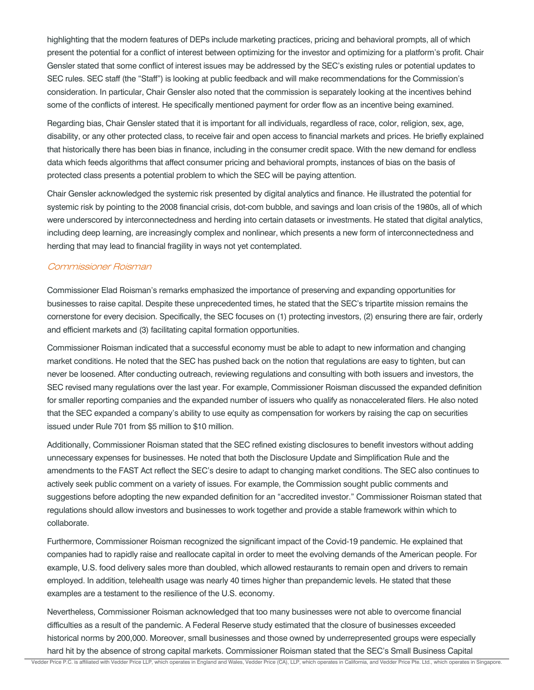highlighting that the modern features of DEPs include marketing practices, pricing and behavioral prompts, all of which present the potential for a conflict of interest between optimizing for the investor and optimizing for a platform's profit. Chair Gensler stated that some conflict of interest issues may be addressed by the SEC's existing rules or potential updates to SEC rules. SEC staff (the "Staff") is looking at public feedback and will make recommendations for the Commission's consideration. In particular, Chair Gensler also noted that the commission is separately looking at the incentives behind some of the conflicts of interest. He specifically mentioned payment for order flow as an incentive being examined.

Regarding bias, Chair Gensler stated that it is important for all individuals, regardless of race, color, religion, sex, age, disability, or any other protected class, to receive fair and open access to financial markets and prices. He briefly explained that historically there has been bias in finance, including in the consumer credit space. With the new demand for endless data which feeds algorithms that affect consumer pricing and behavioral prompts, instances of bias on the basis of protected class presents a potential problem to which the SEC will be paying attention.

Chair Gensler acknowledged the systemic risk presented by digital analytics and finance. He illustrated the potential for systemic risk by pointing to the 2008 financial crisis, dot-com bubble, and savings and loan crisis of the 1980s, all of which were underscored by interconnectedness and herding into certain datasets or investments. He stated that digital analytics, including deep learning, are increasingly complex and nonlinear, which presents a new form of interconnectedness and herding that may lead to financial fragility in ways not yet contemplated.

#### Commissioner Roisman

Commissioner Elad Roisman's remarks emphasized the importance of preserving and expanding opportunities for businesses to raise capital. Despite these unprecedented times, he stated that the SEC's tripartite mission remains the cornerstone for every decision. Specifically, the SEC focuses on (1) protecting investors, (2) ensuring there are fair, orderly and efficient markets and (3) facilitating capital formation opportunities.

Commissioner Roisman indicated that a successful economy must be able to adapt to new information and changing market conditions. He noted that the SEC has pushed back on the notion that regulations are easy to tighten, but can never be loosened. After conducting outreach, reviewing regulations and consulting with both issuers and investors, the SEC revised many regulations over the last year. For example, Commissioner Roisman discussed the expanded definition for smaller reporting companies and the expanded number of issuers who qualify as nonaccelerated filers. He also noted that the SEC expanded a company's ability to use equity as compensation for workers by raising the cap on securities issued under Rule 701 from \$5 million to \$10 million.

Additionally, Commissioner Roisman stated that the SEC refined existing disclosures to benefit investors without adding unnecessary expenses for businesses. He noted that both the Disclosure Update and Simplification Rule and the amendments to the FAST Act reflect the SEC's desire to adapt to changing market conditions. The SEC also continues to actively seek public comment on a variety of issues. For example, the Commission sought public comments and suggestions before adopting the new expanded definition for an "accredited investor." Commissioner Roisman stated that regulations should allow investors and businesses to work together and provide a stable framework within which to collaborate.

Furthermore, Commissioner Roisman recognized the significant impact of the Covid-19 pandemic. He explained that companies had to rapidly raise and reallocate capital in order to meet the evolving demands of the American people. For example, U.S. food delivery sales more than doubled, which allowed restaurants to remain open and drivers to remain employed. In addition, telehealth usage was nearly 40 times higher than prepandemic levels. He stated that these examples are a testament to the resilience of the U.S. economy.

Nevertheless, Commissioner Roisman acknowledged that too many businesses were not able to overcome financial difficulties as a result of the pandemic. A Federal Reserve study estimated that the closure of businesses exceeded historical norms by 200,000. Moreover, small businesses and those owned by underrepresented groups were especially hard hit by the absence of strong capital markets. Commissioner Roisman stated that the SEC's Small Business Capital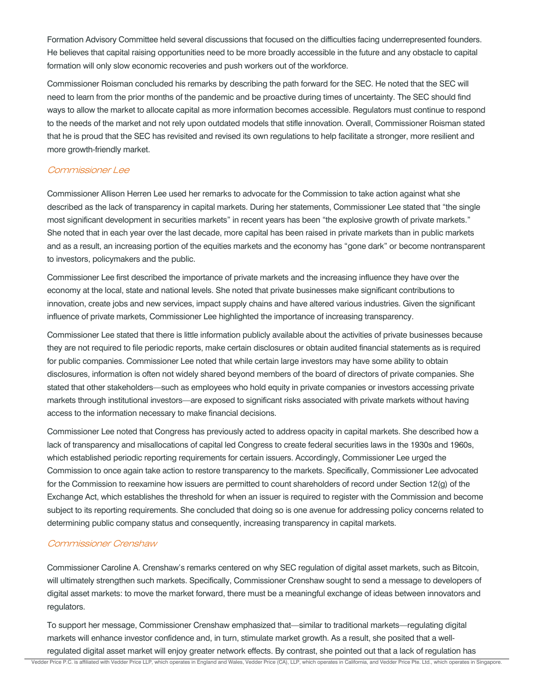Formation Advisory Committee held several discussions that focused on the difficulties facing underrepresented founders. He believes that capital raising opportunities need to be more broadly accessible in the future and any obstacle to capital formation will only slow economic recoveries and push workers out of the workforce.

Commissioner Roisman concluded his remarks by describing the path forward for the SEC. He noted that the SEC will need to learn from the prior months of the pandemic and be proactive during times of uncertainty. The SEC should find ways to allow the market to allocate capital as more information becomes accessible. Regulators must continue to respond to the needs of the market and not rely upon outdated models that stifle innovation. Overall, Commissioner Roisman stated that he is proud that the SEC has revisited and revised its own regulations to help facilitate a stronger, more resilient and more growth-friendly market.

## Commissioner Lee

Commissioner Allison Herren Lee used her remarks to advocate for the Commission to take action against what she described as the lack of transparency in capital markets. During her statements, Commissioner Lee stated that "the single most significant development in securities markets" in recent years has been "the explosive growth of private markets." She noted that in each year over the last decade, more capital has been raised in private markets than in public markets and as a result, an increasing portion of the equities markets and the economy has "gone dark" or become nontransparent to investors, policymakers and the public.

Commissioner Lee first described the importance of private markets and the increasing influence they have over the economy at the local, state and national levels. She noted that private businesses make significant contributions to innovation, create jobs and new services, impact supply chains and have altered various industries. Given the significant influence of private markets, Commissioner Lee highlighted the importance of increasing transparency.

Commissioner Lee stated that there is little information publicly available about the activities of private businesses because they are not required to file periodic reports, make certain disclosures or obtain audited financial statements as is required for public companies. Commissioner Lee noted that while certain large investors may have some ability to obtain disclosures, information is often not widely shared beyond members of the board of directors of private companies. She stated that other stakeholders—such as employees who hold equity in private companies or investors accessing private markets through institutional investors—are exposed to significant risks associated with private markets without having access to the information necessary to make financial decisions.

Commissioner Lee noted that Congress has previously acted to address opacity in capital markets. She described how a lack of transparency and misallocations of capital led Congress to create federal securities laws in the 1930s and 1960s, which established periodic reporting requirements for certain issuers. Accordingly, Commissioner Lee urged the Commission to once again take action to restore transparency to the markets. Specifically, Commissioner Lee advocated for the Commission to reexamine how issuers are permitted to count shareholders of record under Section 12(g) of the Exchange Act, which establishes the threshold for when an issuer is required to register with the Commission and become subject to its reporting requirements. She concluded that doing so is one avenue for addressing policy concerns related to determining public company status and consequently, increasing transparency in capital markets.

## Commissioner Crenshaw

Commissioner Caroline A. Crenshaw's remarks centered on why SEC regulation of digital asset markets, such as Bitcoin, will ultimately strengthen such markets. Specifically, Commissioner Crenshaw sought to send a message to developers of digital asset markets: to move the market forward, there must be a meaningful exchange of ideas between innovators and regulators.

To support her message, Commissioner Crenshaw emphasized that—similar to traditional markets—regulating digital markets will enhance investor confidence and, in turn, stimulate market growth. As a result, she posited that a wellregulated digital asset market will enjoy greater network effects. By contrast, she pointed out that a lack of regulation has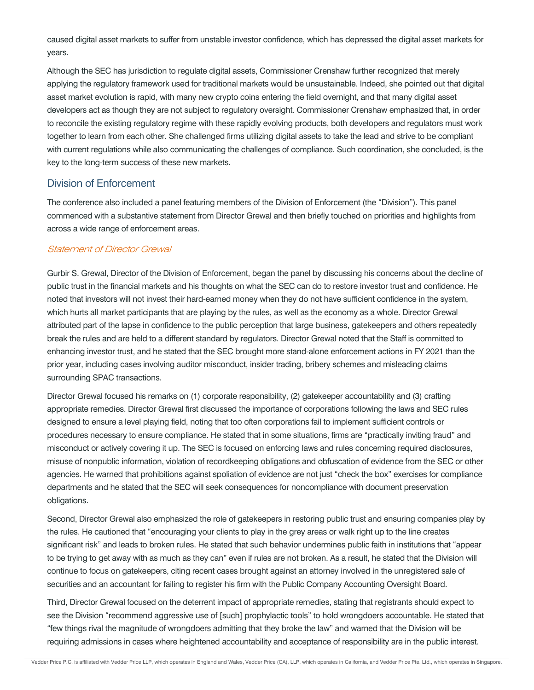caused digital asset markets to suffer from unstable investor confidence, which has depressed the digital asset markets for years.

Although the SEC has jurisdiction to regulate digital assets, Commissioner Crenshaw further recognized that merely applying the regulatory framework used for traditional markets would be unsustainable. Indeed, she pointed out that digital asset market evolution is rapid, with many new crypto coins entering the field overnight, and that many digital asset developers act as though they are not subject to regulatory oversight. Commissioner Crenshaw emphasized that, in order to reconcile the existing regulatory regime with these rapidly evolving products, both developers and regulators must work together to learn from each other. She challenged firms utilizing digital assets to take the lead and strive to be compliant with current regulations while also communicating the challenges of compliance. Such coordination, she concluded, is the key to the long-term success of these new markets.

## Division of Enforcement

The conference also included a panel featuring members of the Division of Enforcement (the "Division"). This panel commenced with a substantive statement from Director Grewal and then briefly touched on priorities and highlights from across a wide range of enforcement areas.

#### Statement of Director Grewal

Gurbir S. Grewal, Director of the Division of Enforcement, began the panel by discussing his concerns about the decline of public trust in the financial markets and his thoughts on what the SEC can do to restore investor trust and confidence. He noted that investors will not invest their hard-earned money when they do not have sufficient confidence in the system, which hurts all market participants that are playing by the rules, as well as the economy as a whole. Director Grewal attributed part of the lapse in confidence to the public perception that large business, gatekeepers and others repeatedly break the rules and are held to a different standard by regulators. Director Grewal noted that the Staff is committed to enhancing investor trust, and he stated that the SEC brought more stand-alone enforcement actions in FY 2021 than the prior year, including cases involving auditor misconduct, insider trading, bribery schemes and misleading claims surrounding SPAC transactions.

Director Grewal focused his remarks on (1) corporate responsibility, (2) gatekeeper accountability and (3) crafting appropriate remedies. Director Grewal first discussed the importance of corporations following the laws and SEC rules designed to ensure a level playing field, noting that too often corporations fail to implement sufficient controls or procedures necessary to ensure compliance. He stated that in some situations, firms are "practically inviting fraud" and misconduct or actively covering it up. The SEC is focused on enforcing laws and rules concerning required disclosures, misuse of nonpublic information, violation of recordkeeping obligations and obfuscation of evidence from the SEC or other agencies. He warned that prohibitions against spoliation of evidence are not just "check the box" exercises for compliance departments and he stated that the SEC will seek consequences for noncompliance with document preservation obligations.

Second, Director Grewal also emphasized the role of gatekeepers in restoring public trust and ensuring companies play by the rules. He cautioned that "encouraging your clients to play in the grey areas or walk right up to the line creates significant risk" and leads to broken rules. He stated that such behavior undermines public faith in institutions that "appear to be trying to get away with as much as they can" even if rules are not broken. As a result, he stated that the Division will continue to focus on gatekeepers, citing recent cases brought against an attorney involved in the unregistered sale of securities and an accountant for failing to register his firm with the Public Company Accounting Oversight Board.

Third, Director Grewal focused on the deterrent impact of appropriate remedies, stating that registrants should expect to see the Division "recommend aggressive use of [such] prophylactic tools" to hold wrongdoers accountable. He stated that "few things rival the magnitude of wrongdoers admitting that they broke the law" and warned that the Division will be requiring admissions in cases where heightened accountability and acceptance of responsibility are in the public interest.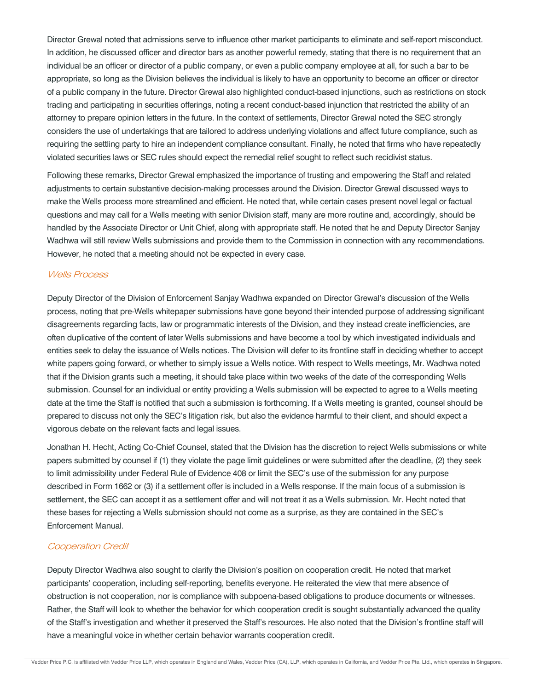Director Grewal noted that admissions serve to influence other market participants to eliminate and self-report misconduct. In addition, he discussed officer and director bars as another powerful remedy, stating that there is no requirement that an individual be an officer or director of a public company, or even a public company employee at all, for such a bar to be appropriate, so long as the Division believes the individual is likely to have an opportunity to become an officer or director of a public company in the future. Director Grewal also highlighted conduct-based injunctions, such as restrictions on stock trading and participating in securities offerings, noting a recent conduct-based injunction that restricted the ability of an attorney to prepare opinion letters in the future. In the context of settlements, Director Grewal noted the SEC strongly considers the use of undertakings that are tailored to address underlying violations and affect future compliance, such as requiring the settling party to hire an independent compliance consultant. Finally, he noted that firms who have repeatedly violated securities laws or SEC rules should expect the remedial relief sought to reflect such recidivist status.

Following these remarks, Director Grewal emphasized the importance of trusting and empowering the Staff and related adjustments to certain substantive decision-making processes around the Division. Director Grewal discussed ways to make the Wells process more streamlined and efficient. He noted that, while certain cases present novel legal or factual questions and may call for a Wells meeting with senior Division staff, many are more routine and, accordingly, should be handled by the Associate Director or Unit Chief, along with appropriate staff. He noted that he and Deputy Director Sanjay Wadhwa will still review Wells submissions and provide them to the Commission in connection with any recommendations. However, he noted that a meeting should not be expected in every case.

#### Wells Process

Deputy Director of the Division of Enforcement Sanjay Wadhwa expanded on Director Grewal's discussion of the Wells process, noting that pre-Wells whitepaper submissions have gone beyond their intended purpose of addressing significant disagreements regarding facts, law or programmatic interests of the Division, and they instead create inefficiencies, are often duplicative of the content of later Wells submissions and have become a tool by which investigated individuals and entities seek to delay the issuance of Wells notices. The Division will defer to its frontline staff in deciding whether to accept white papers going forward, or whether to simply issue a Wells notice. With respect to Wells meetings, Mr. Wadhwa noted that if the Division grants such a meeting, it should take place within two weeks of the date of the corresponding Wells submission. Counsel for an individual or entity providing a Wells submission will be expected to agree to a Wells meeting date at the time the Staff is notified that such a submission is forthcoming. If a Wells meeting is granted, counsel should be prepared to discuss not only the SEC's litigation risk, but also the evidence harmful to their client, and should expect a vigorous debate on the relevant facts and legal issues.

Jonathan H. Hecht, Acting Co-Chief Counsel, stated that the Division has the discretion to reject Wells submissions or white papers submitted by counsel if (1) they violate the page limit guidelines or were submitted after the deadline, (2) they seek to limit admissibility under Federal Rule of Evidence 408 or limit the SEC's use of the submission for any purpose described in Form 1662 or (3) if a settlement offer is included in a Wells response. If the main focus of a submission is settlement, the SEC can accept it as a settlement offer and will not treat it as a Wells submission. Mr. Hecht noted that these bases for rejecting a Wells submission should not come as a surprise, as they are contained in the SEC's Enforcement Manual.

#### Cooperation Credit

Deputy Director Wadhwa also sought to clarify the Division's position on cooperation credit. He noted that market participants' cooperation, including self-reporting, benefits everyone. He reiterated the view that mere absence of obstruction is not cooperation, nor is compliance with subpoena-based obligations to produce documents or witnesses. Rather, the Staff will look to whether the behavior for which cooperation credit is sought substantially advanced the quality of the Staff's investigation and whether it preserved the Staff's resources. He also noted that the Division's frontline staff will have a meaningful voice in whether certain behavior warrants cooperation credit.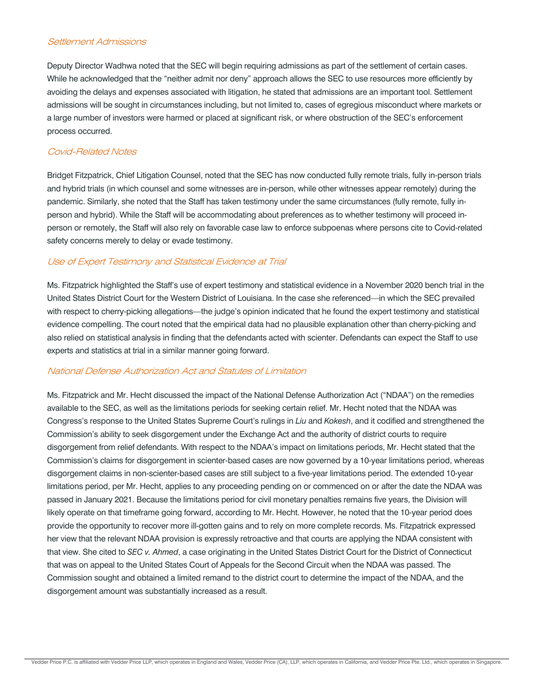#### Settlement Admissions

Deputy Director Wadhwa noted that the SEC will begin requiring admissions as part of the settlement of certain cases. While he acknowledged that the "neither admit nor deny" approach allows the SEC to use resources more efficiently by avoiding the delays and expenses associated with litigation, he stated that admissions are an important tool. Settlement admissions will be sought in circumstances including, but not limited to, cases of egregious misconduct where markets or a large number of investors were harmed or placed at significant risk, or where obstruction of the SEC's enforcement process occurred.

### Covid-Related Notes

Bridget Fitzpatrick, Chief Litigation Counsel, noted that the SEC has now conducted fully remote trials, fully in-person trials and hybrid trials (in which counsel and some witnesses are in-person, while other witnesses appear remotely) during the pandemic. Similarly, she noted that the Staff has taken testimony under the same circumstances (fully remote, fully inperson and hybrid). While the Staff will be accommodating about preferences as to whether testimony will proceed inperson or remotely, the Staff will also rely on favorable case law to enforce subpoenas where persons cite to Covid-related safety concerns merely to delay or evade testimony.

## Use of Expert Testimony and Statistical Evidence at Trial

Ms. Fitzpatrick highlighted the Staff's use of expert testimony and statistical evidence in a November 2020 bench trial in the United States District Court for the Western District of Louisiana. In the case she referenced—in which the SEC prevailed with respect to cherry-picking allegations—the judge's opinion indicated that he found the expert testimony and statistical evidence compelling. The court noted that the empirical data had no plausible explanation other than cherry-picking and also relied on statistical analysis in finding that the defendants acted with scienter. Defendants can expect the Staff to use experts and statistics at trial in a similar manner going forward.

#### National Defense Authorization Act and Statutes of Limitation

Ms. Fitzpatrick and Mr. Hecht discussed the impact of the National Defense Authorization Act ("NDAA") on the remedies available to the SEC, as well as the limitations periods for seeking certain relief. Mr. Hecht noted that the NDAA was Congress's response to the United States Supreme Court's rulings in *Liu* and *Kokesh*, and it codified and strengthened the Commission's ability to seek disgorgement under the Exchange Act and the authority of district courts to require disgorgement from relief defendants. With respect to the NDAA's impact on limitations periods, Mr. Hecht stated that the Commission's claims for disgorgement in scienter-based cases are now governed by a 10-year limitations period, whereas disgorgement claims in non-scienter-based cases are still subject to a five-year limitations period. The extended 10-year limitations period, per Mr. Hecht, applies to any proceeding pending on or commenced on or after the date the NDAA was passed in January 2021. Because the limitations period for civil monetary penalties remains five years, the Division will likely operate on that timeframe going forward, according to Mr. Hecht. However, he noted that the 10-year period does provide the opportunity to recover more ill-gotten gains and to rely on more complete records. Ms. Fitzpatrick expressed her view that the relevant NDAA provision is expressly retroactive and that courts are applying the NDAA consistent with that view. She cited to *SEC v. Ahmed*, a case originating in the United States District Court for the District of Connecticut that was on appeal to the United States Court of Appeals for the Second Circuit when the NDAA was passed. The Commission sought and obtained a limited remand to the district court to determine the impact of the NDAA, and the disgorgement amount was substantially increased as a result.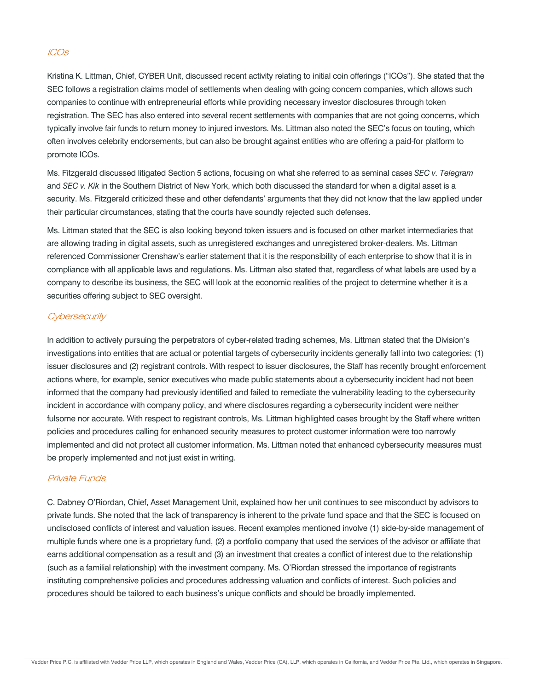## ICOs

Kristina K. Littman, Chief, CYBER Unit, discussed recent activity relating to initial coin offerings ("ICOs"). She stated that the SEC follows a registration claims model of settlements when dealing with going concern companies, which allows such companies to continue with entrepreneurial efforts while providing necessary investor disclosures through token registration. The SEC has also entered into several recent settlements with companies that are not going concerns, which typically involve fair funds to return money to injured investors. Ms. Littman also noted the SEC's focus on touting, which often involves celebrity endorsements, but can also be brought against entities who are offering a paid-for platform to promote ICOs.

Ms. Fitzgerald discussed litigated Section 5 actions, focusing on what she referred to as seminal cases *SEC v. Telegram* and *SEC v. Kik* in the Southern District of New York, which both discussed the standard for when a digital asset is a security. Ms. Fitzgerald criticized these and other defendants' arguments that they did not know that the law applied under their particular circumstances, stating that the courts have soundly rejected such defenses.

Ms. Littman stated that the SEC is also looking beyond token issuers and is focused on other market intermediaries that are allowing trading in digital assets, such as unregistered exchanges and unregistered broker-dealers. Ms. Littman referenced Commissioner Crenshaw's earlier statement that it is the responsibility of each enterprise to show that it is in compliance with all applicable laws and regulations. Ms. Littman also stated that, regardless of what labels are used by a company to describe its business, the SEC will look at the economic realities of the project to determine whether it is a securities offering subject to SEC oversight.

## **Cybersecurity**

In addition to actively pursuing the perpetrators of cyber-related trading schemes, Ms. Littman stated that the Division's investigations into entities that are actual or potential targets of cybersecurity incidents generally fall into two categories: (1) issuer disclosures and (2) registrant controls. With respect to issuer disclosures, the Staff has recently brought enforcement actions where, for example, senior executives who made public statements about a cybersecurity incident had not been informed that the company had previously identified and failed to remediate the vulnerability leading to the cybersecurity incident in accordance with company policy, and where disclosures regarding a cybersecurity incident were neither fulsome nor accurate. With respect to registrant controls, Ms. Littman highlighted cases brought by the Staff where written policies and procedures calling for enhanced security measures to protect customer information were too narrowly implemented and did not protect all customer information. Ms. Littman noted that enhanced cybersecurity measures must be properly implemented and not just exist in writing.

#### Private Funds

C. Dabney O'Riordan, Chief, Asset Management Unit, explained how her unit continues to see misconduct by advisors to private funds. She noted that the lack of transparency is inherent to the private fund space and that the SEC is focused on undisclosed conflicts of interest and valuation issues. Recent examples mentioned involve (1) side-by-side management of multiple funds where one is a proprietary fund, (2) a portfolio company that used the services of the advisor or affiliate that earns additional compensation as a result and (3) an investment that creates a conflict of interest due to the relationship (such as a familial relationship) with the investment company. Ms. O'Riordan stressed the importance of registrants instituting comprehensive policies and procedures addressing valuation and conflicts of interest. Such policies and procedures should be tailored to each business's unique conflicts and should be broadly implemented.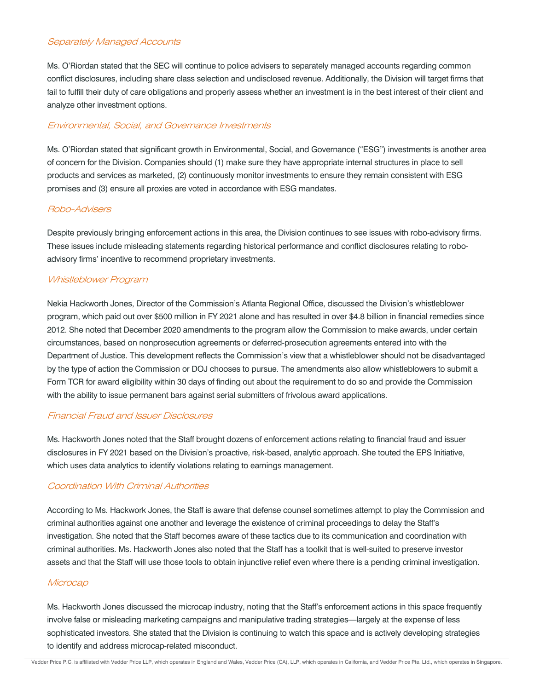#### Separately Managed Accounts

Ms. O'Riordan stated that the SEC will continue to police advisers to separately managed accounts regarding common conflict disclosures, including share class selection and undisclosed revenue. Additionally, the Division will target firms that fail to fulfill their duty of care obligations and properly assess whether an investment is in the best interest of their client and analyze other investment options.

#### Environmental, Social, and Governance Investments

Ms. O'Riordan stated that significant growth in Environmental, Social, and Governance ("ESG") investments is another area of concern for the Division. Companies should (1) make sure they have appropriate internal structures in place to sell products and services as marketed, (2) continuously monitor investments to ensure they remain consistent with ESG promises and (3) ensure all proxies are voted in accordance with ESG mandates.

#### Robo-Advisers

Despite previously bringing enforcement actions in this area, the Division continues to see issues with robo-advisory firms. These issues include misleading statements regarding historical performance and conflict disclosures relating to roboadvisory firms' incentive to recommend proprietary investments.

#### Whistleblower Program

Nekia Hackworth Jones, Director of the Commission's Atlanta Regional Office, discussed the Division's whistleblower program, which paid out over \$500 million in FY 2021 alone and has resulted in over \$4.8 billion in financial remedies since 2012. She noted that December 2020 amendments to the program allow the Commission to make awards, under certain circumstances, based on nonprosecution agreements or deferred-prosecution agreements entered into with the Department of Justice. This development reflects the Commission's view that a whistleblower should not be disadvantaged by the type of action the Commission or DOJ chooses to pursue. The amendments also allow whistleblowers to submit a Form TCR for award eligibility within 30 days of finding out about the requirement to do so and provide the Commission with the ability to issue permanent bars against serial submitters of frivolous award applications.

#### Financial Fraud and Issuer Disclosures

Ms. Hackworth Jones noted that the Staff brought dozens of enforcement actions relating to financial fraud and issuer disclosures in FY 2021 based on the Division's proactive, risk-based, analytic approach. She touted the EPS Initiative, which uses data analytics to identify violations relating to earnings management.

### Coordination With Criminal Authorities

According to Ms. Hackwork Jones, the Staff is aware that defense counsel sometimes attempt to play the Commission and criminal authorities against one another and leverage the existence of criminal proceedings to delay the Staff's investigation. She noted that the Staff becomes aware of these tactics due to its communication and coordination with criminal authorities. Ms. Hackworth Jones also noted that the Staff has a toolkit that is well-suited to preserve investor assets and that the Staff will use those tools to obtain injunctive relief even where there is a pending criminal investigation.

#### **Microcap**

Ms. Hackworth Jones discussed the microcap industry, noting that the Staff's enforcement actions in this space frequently involve false or misleading marketing campaigns and manipulative trading strategies—largely at the expense of less sophisticated investors. She stated that the Division is continuing to watch this space and is actively developing strategies to identify and address microcap-related misconduct.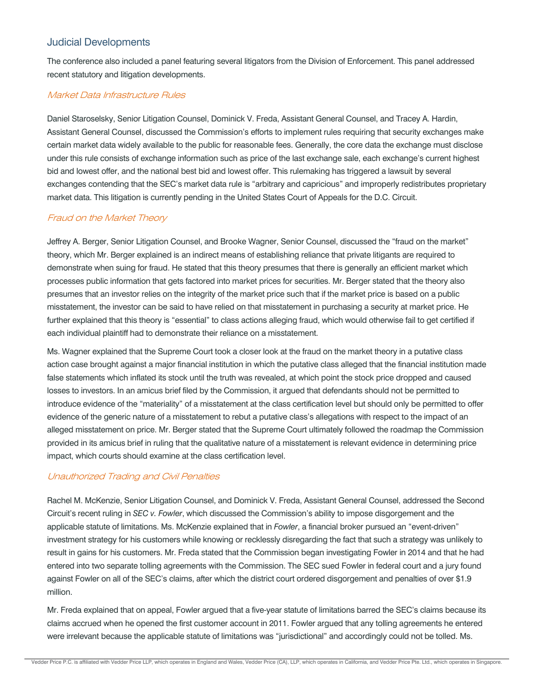# Judicial Developments

The conference also included a panel featuring several litigators from the Division of Enforcement. This panel addressed recent statutory and litigation developments.

## Market Data Infrastructure Rules

Daniel Staroselsky, Senior Litigation Counsel, Dominick V. Freda, Assistant General Counsel, and Tracey A. Hardin, Assistant General Counsel, discussed the Commission's efforts to implement rules requiring that security exchanges make certain market data widely available to the public for reasonable fees. Generally, the core data the exchange must disclose under this rule consists of exchange information such as price of the last exchange sale, each exchange's current highest bid and lowest offer, and the national best bid and lowest offer. This rulemaking has triggered a lawsuit by several exchanges contending that the SEC's market data rule is "arbitrary and capricious" and improperly redistributes proprietary market data. This litigation is currently pending in the United States Court of Appeals for the D.C. Circuit.

## Fraud on the Market Theory

Jeffrey A. Berger, Senior Litigation Counsel, and Brooke Wagner, Senior Counsel, discussed the "fraud on the market" theory, which Mr. Berger explained is an indirect means of establishing reliance that private litigants are required to demonstrate when suing for fraud. He stated that this theory presumes that there is generally an efficient market which processes public information that gets factored into market prices for securities. Mr. Berger stated that the theory also presumes that an investor relies on the integrity of the market price such that if the market price is based on a public misstatement, the investor can be said to have relied on that misstatement in purchasing a security at market price. He further explained that this theory is "essential" to class actions alleging fraud, which would otherwise fail to get certified if each individual plaintiff had to demonstrate their reliance on a misstatement.

Ms. Wagner explained that the Supreme Court took a closer look at the fraud on the market theory in a putative class action case brought against a major financial institution in which the putative class alleged that the financial institution made false statements which inflated its stock until the truth was revealed, at which point the stock price dropped and caused losses to investors. In an amicus brief filed by the Commission, it argued that defendants should not be permitted to introduce evidence of the "materiality" of a misstatement at the class certification level but should only be permitted to offer evidence of the generic nature of a misstatement to rebut a putative class's allegations with respect to the impact of an alleged misstatement on price. Mr. Berger stated that the Supreme Court ultimately followed the roadmap the Commission provided in its amicus brief in ruling that the qualitative nature of a misstatement is relevant evidence in determining price impact, which courts should examine at the class certification level.

## Unauthorized Trading and Civil Penalties

Rachel M. McKenzie, Senior Litigation Counsel, and Dominick V. Freda, Assistant General Counsel, addressed the Second Circuit's recent ruling in *SEC v. Fowler*, which discussed the Commission's ability to impose disgorgement and the applicable statute of limitations. Ms. McKenzie explained that in *Fowler*, a financial broker pursued an "event-driven" investment strategy for his customers while knowing or recklessly disregarding the fact that such a strategy was unlikely to result in gains for his customers. Mr. Freda stated that the Commission began investigating Fowler in 2014 and that he had entered into two separate tolling agreements with the Commission. The SEC sued Fowler in federal court and a jury found against Fowler on all of the SEC's claims, after which the district court ordered disgorgement and penalties of over \$1.9 million.

Mr. Freda explained that on appeal, Fowler argued that a five-year statute of limitations barred the SEC's claims because its claims accrued when he opened the first customer account in 2011. Fowler argued that any tolling agreements he entered were irrelevant because the applicable statute of limitations was "jurisdictional" and accordingly could not be tolled. Ms.